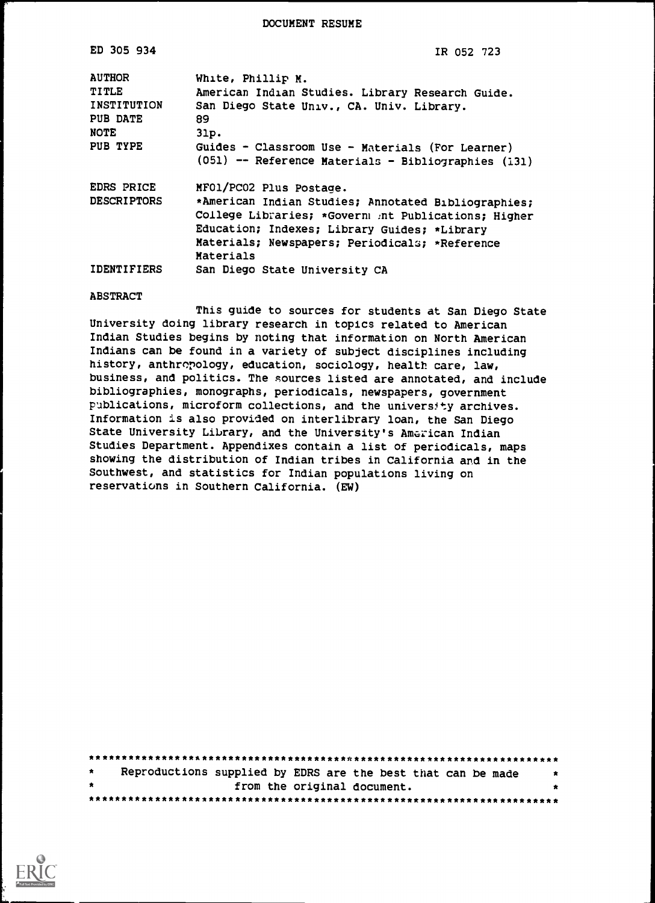DOCUMENT RESUME

| ED 305 934         | IR 052 723                                           |
|--------------------|------------------------------------------------------|
| <b>AUTHOR</b>      | White, Phillip M.                                    |
| TITLE              | American Indian Studies. Library Research Guide.     |
| INSTITUTION        | San Diego State Univ., CA. Univ. Library.            |
| PUB DATE           | 89                                                   |
| <b>NOTE</b>        | 31p.                                                 |
| PUB TYPE           | Guides - Classroom Use - Materials (For Learner)     |
|                    | (051) -- Reference Materials - Bibliographies (131)  |
| EDRS PRICE         | MF01/PC02 Plus Postage.                              |
| <b>DESCRIPTORS</b> | *American Indian Studies; Annotated Bibliographies;  |
|                    | College Libraries; *Governm int Publications; Higher |
|                    | Education; Indexes; Library Guides; *Library         |
|                    | Materials; Newspapers; Periodicals; *Reference       |
|                    | Materials                                            |
| <b>IDENTIFIERS</b> | San Diego State University CA                        |

#### ABSTRACT

This guide to sources for students at San Diego State University doing library research in topics related to American Indian Studies begins by noting that information on North American Indians can be found in a variety of subject disciplines including history, anthropology, education, sociology, health care, law, business, and politics. The sources listed are annotated, and include bibliographies, monographs, periodicals, newspapers, government publications, microform collections, and the university archives. Information is also provided on interlibrary loan, the San Diego State University Library, and the University's American Indian Studies Department. Appendixes contain a list of periodicals, maps showing the distribution of Indian tribes in California and in the Southwest, and statistics for Indian populations living on reservations in Southern California. (EW)

| $\star$ | Reproductions supplied by EDRS are the best that can be made |                             |  |  |  |  | $\star$ |
|---------|--------------------------------------------------------------|-----------------------------|--|--|--|--|---------|
| $\star$ |                                                              | from the original document. |  |  |  |  |         |
|         |                                                              |                             |  |  |  |  |         |

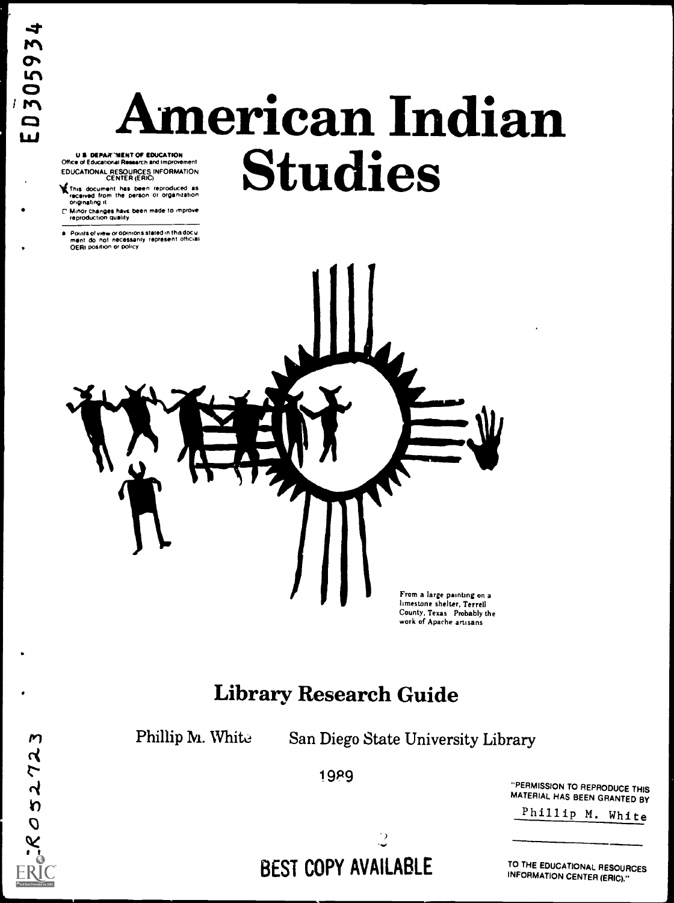$\mathsf{M}$ 

05272

# American Indian EDUCATIONAL RESOURCES INFORMATION CENTER (ERIC) Studies

U S DEPAETRENT OF EDUCATION Office of Educational Research and Improvement

4,This document has been reproduced as reoenami from the person or organization originating it

C Minor changes have been made to improve reproduction quality

Points of view or opinions stated in this docu merit do not necessarily represent official OERI position or policy



# Library Research Guide

Phillip M. White San Diego State University Library

19P9

"PERMISSION TO REPRODUCE THIS

Phillip M. White

 $\mathbb{C}$ BEST COPY AVAILABLE

TO THE EDUCATIONAL RESOURCES INFORMATION CENTER (ERIC)."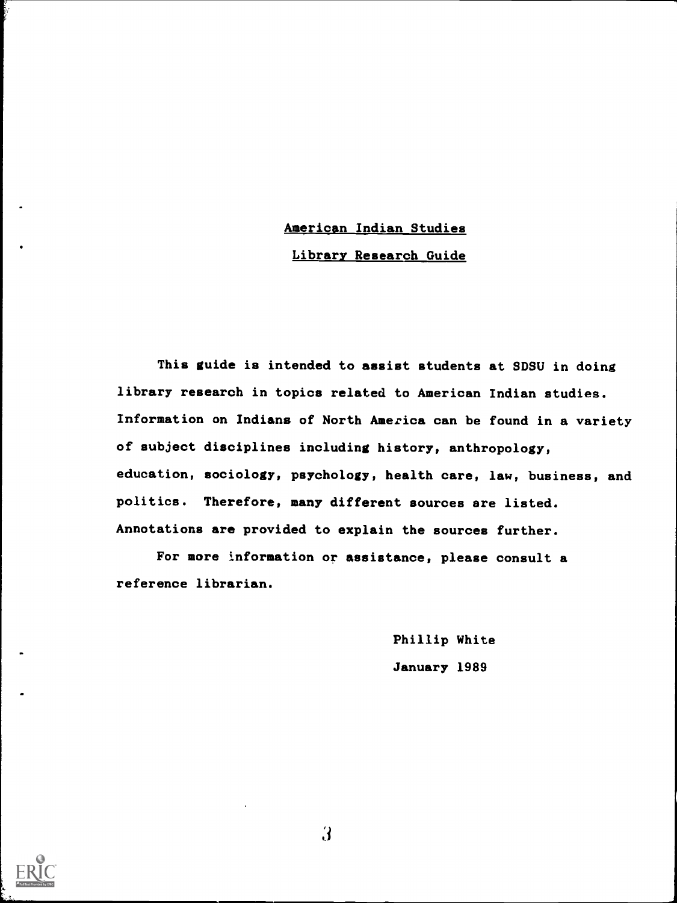# American Indian Studies Library Research Guide

This guide is intended to assist students at SDSU in doing library research in topics related to American Indian studies. Information on Indians of North America can be found in a variety of subject disciplines including history, anthropology, education, sociology, psychology, health care, law, business, and politics. Therefore, many different sources are listed. Annotations are provided to explain the sources further.

For more information or assistance, please consult a reference librarian.

> Phillip White January 1989



 $\mathfrak{z}$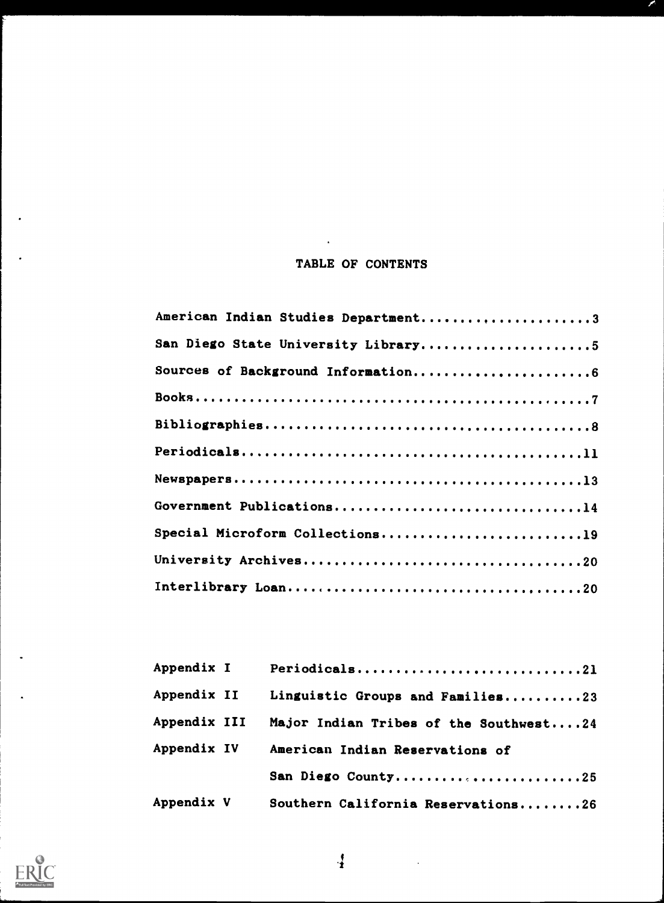### TABLE OF CONTENTS

 $\hat{\mathbf{r}}$ 

P

| American Indian Studies Department3 |
|-------------------------------------|
| San Diego State University Library5 |
| Sources of Background Information6  |
|                                     |
|                                     |
|                                     |
|                                     |
| Government Publications14           |
| Special Microform Collections19     |
|                                     |
|                                     |

| <b>Appendix I</b>   | Periodicals21                          |
|---------------------|----------------------------------------|
| <b>Appendix II</b>  | Linguistic Groups and Families23       |
| <b>Appendix III</b> | Major Indian Tribes of the Southwest24 |
| <b>Appendix IV</b>  | American Indian Reservations of        |
|                     | San Diego County25                     |
| Appendix V          | Southern California Reservations26     |

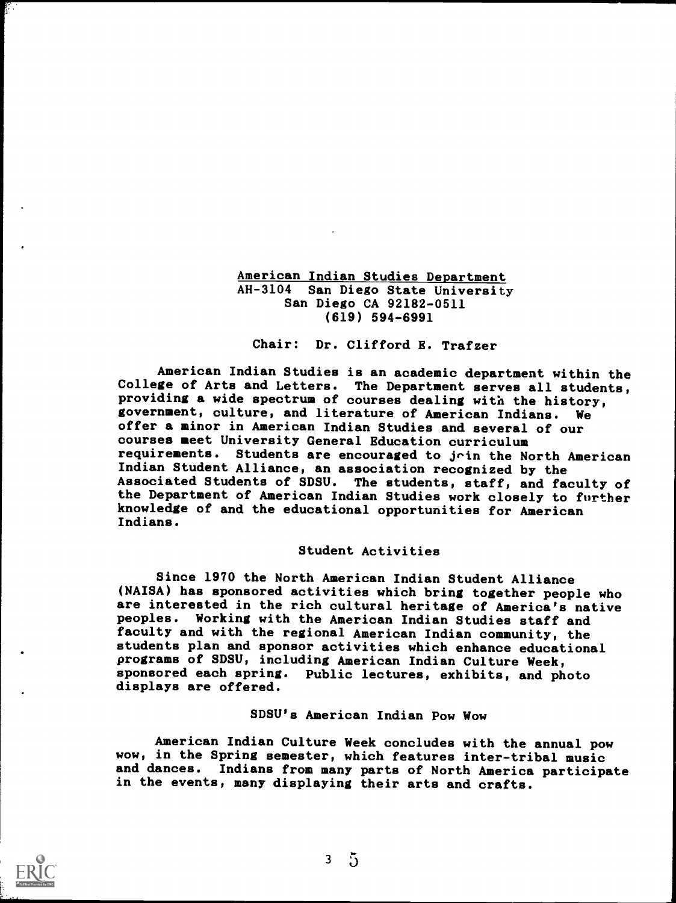#### American Indian Studies Department AH-3104 San Diego State University San Diego CA 92182-0511 (619) 594-6991

#### Chair: Dr. Clifford E. Trafzer

American Indian Studies is an academic department within the College of Arts and Letters. The Department serves all students, providing a wide spectrum of courses dealing with the history, government, culture, and literature of American Indians. We offer a minor in American Indian Studies and several of our courses meet University General Education curriculum requirements. Students are encouraged to jrin the North American Indian Student Alliance, an association recognized by the Associated Students of SDSU. The students, staff, and faculty of the Department of American Indian Studies work closely to further knowledge of and the educational opportunities for American Indians.

#### Student Activities

Since 1970 the North American Indian Student Alliance (NAISA) has sponsored activities which bring together people who are interested in the rich cultural heritage of America's native peoples. Working with the American Indian Studies staff and faculty and with the regional American Indian community, the students plan and sponsor activities which enhance educational programs of SDSU, including American Indian Culture Week, sponsored each spring. Public lectures, exhibits, and photo displays are offered.

#### SDSU's American Indian Pow Wow

American Indian Culture Week concludes with the annual pow wow, in the Spring semester, which features inter-tribal music and dances. Indians from many parts of North America participate in the events, many displaying their arts and crafts.



ŗ.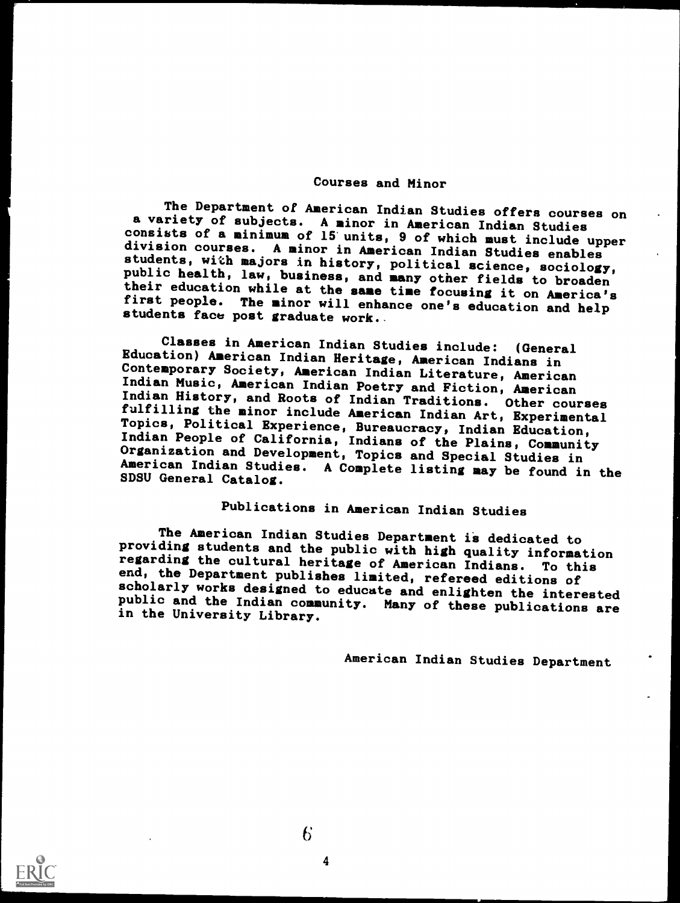#### Courses and Minor

The Department of American Indian Studies offers courses on<br>a variety of subjects. A minor in American Indian Studies<br>consists of a minimum of 15 units, 9 of which must include upper<br>division courses. A minor in American I

Classes in American Indian Studies include: (General<br>Education) American Indian Heritage, American Indians in<br>Contemporary Society, American Indian Literature, American<br>Indian Music, American Indian Poetry and Fiction, Ame American Indian Studies. A Complete listing may be found in the SDSU General Catalog.

### Publications in American Indian Studies

The American Indian Studies Department is dedicated to<br>providing students and the public with high quality information<br>regarding the cultural heritage of American Indians. To this<br>end, the Department publishes limited, ref

American Indian Studies Department

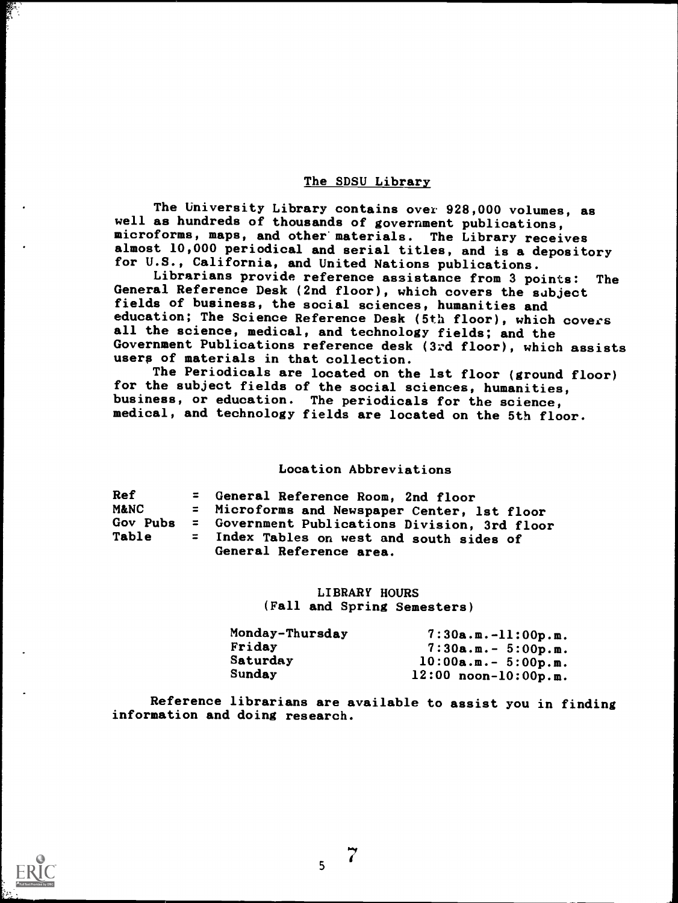#### The SDSU Library

The University Library contains over 928,000 volumes, as well as hundreds of thousands of government publications, microforms, maps, and other' materials. The Library receives almost 10,000 periodical and serial titles, and is a depository for U.S., California, and United Nations publications.

Librarians provide reference assistance from 3 points: The General Reference Desk (2nd floor), which covers the subject fields of business, the social sciences, humanities and education; The Science Reference Desk (5th floor), which covers all the science, medical, and technology fields; and the Government Publications reference desk (3:d floor), which assists users of materials in that collection.

The Periodicals are located on the 1st floor (ground floor) for the subject fields of the social sciences, humanities, business, or education. The periodicals for the science, medical, and technology fields are located on the 5th floor.

#### Location Abbreviations

| Ref             | = General Reference Room, 2nd floor                                  |
|-----------------|----------------------------------------------------------------------|
| <b>M&amp;NC</b> | = Microforms and Newspaper Center, 1st floor                         |
| Gov Pubs        | = Government Publications Division, 3rd floor                        |
| Table           | = Index Tables on west and south sides of<br>General Reference area. |

LIBRARY HOURS (Fall and Spring Semesters)

| Monday-Thursday | $7:30a.m.-11:00p.m.$      |
|-----------------|---------------------------|
| Friday          | $7:30a.m.-5:00p.m.$       |
| Saturday        | $10:00$ a.m.- 5:00p.m.    |
| Sunday          | $12:00$ noon- $10:00p.m.$ |

-i

Reference librarians are available to assist you in finding information and doing research.

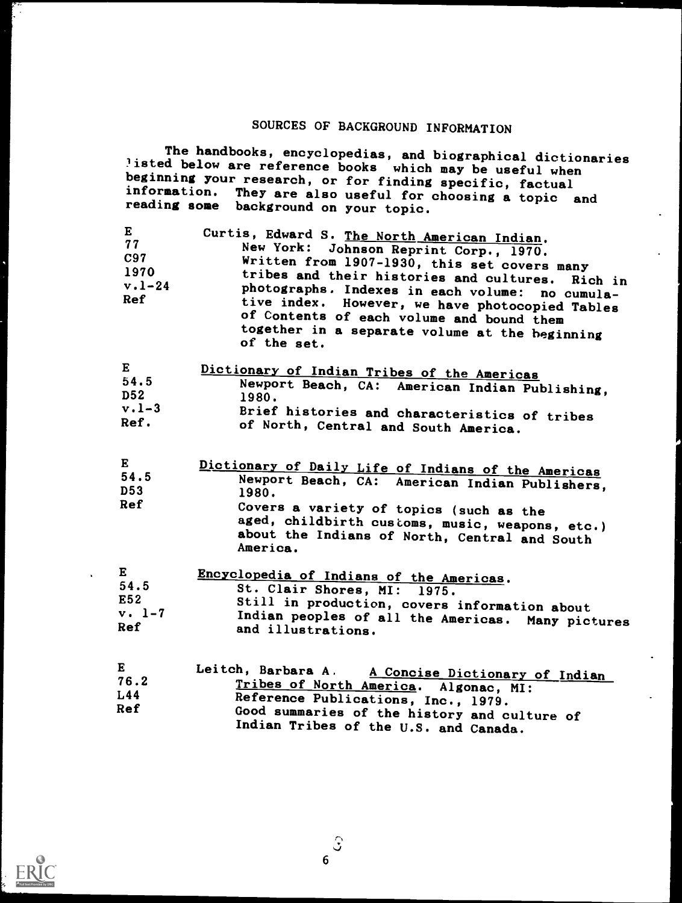# SOURCES OF BACKGROUND INFORMATION

The handbooks, encyclopedias, and biographical dictionaries 'isted below are reference books which may be useful when<br>beginning ways seemed to call which may be useful when beginning your research, or for finding specific, factual information. They are also useful for choosing a topic and reading some background on your topic.

| E<br>77<br>C97<br>1970<br>$v.1 - 24$<br>Ref | Curtis, Edward S. The North American Indian.<br>New York: Johnson Reprint Corp., 1970.<br>Written from 1907-1930, this set covers many<br>tribes and their histories and cultures. Rich in<br>photographs. Indexes in each volume: no cumula-<br>tive index. However, we have photocopied Tables<br>of Contents of each volume and bound them<br>together in a separate volume at the beginning<br>of the set. |
|---------------------------------------------|----------------------------------------------------------------------------------------------------------------------------------------------------------------------------------------------------------------------------------------------------------------------------------------------------------------------------------------------------------------------------------------------------------------|
| Р                                           | .                                                                                                                                                                                                                                                                                                                                                                                                              |

| E               | Dictionary of Indian Tribes of the Americas    |
|-----------------|------------------------------------------------|
| 54.5            | Newport Beach, CA: American Indian Publishing, |
| D <sub>52</sub> | 1980.                                          |
| $v.1 - 3$       | Brief histories and characteristics of tribes  |
| Ref.            | of North, Central and South America.           |

| $\bf{E}$        | Dictionary of Daily Life of Indians of the Americas                                                                                                     |
|-----------------|---------------------------------------------------------------------------------------------------------------------------------------------------------|
| 54.5            | Newport Beach, CA: American Indian Publishers,                                                                                                          |
| D <sub>53</sub> | 1980.                                                                                                                                                   |
| Ref             | Covers a variety of topics (such as the<br>aged, childbirth customs, music, weapons, etc.)<br>about the Indians of North, Central and South<br>America. |

| E        | Encyclopedia of Indians of the Americas.          |
|----------|---------------------------------------------------|
| 54.5     | St. Clair Shores, MI: 1975.                       |
| E52      | Still in production, covers information about     |
| $v. 1-7$ | Indian peoples of all the Americas. Many pictures |
| Ref      | and illustrations.                                |
|          |                                                   |

| $\bf{E}$ | Leitch, Barbara A. A Concise Dictionary of Indian |
|----------|---------------------------------------------------|
| 76.2     | Tribes of North America. Algonac, MI:             |
| L44      | Reference Publications, Inc., 1979.               |
| Ref      | Good summaries of the history and culture of      |
|          | Indian Tribes of the U.S. and Canada.             |

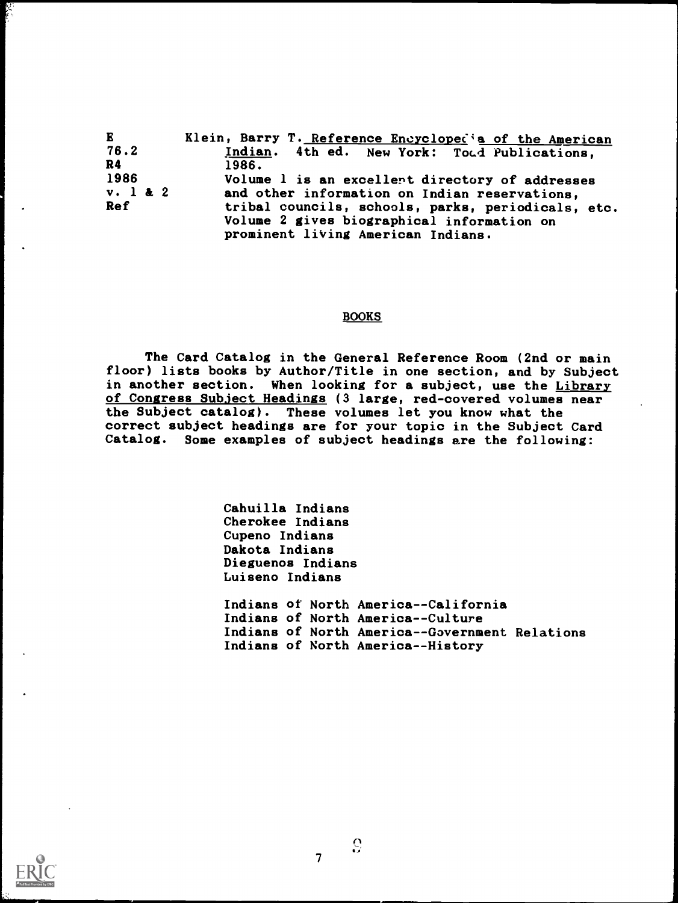| E.<br>Klein, Barry T. Reference Encyclopedia of the American     |  |
|------------------------------------------------------------------|--|
| 76.2<br>Indian. 4th ed. New York: Toud Publications,             |  |
| R4<br>1986.                                                      |  |
| 1986<br>Volume 1 is an excellent directory of addresses          |  |
| $v.$ 1 & 2<br>and other information on Indian reservations,      |  |
| <b>Ref</b><br>tribal councils, schools, parks, periodicals, etc. |  |
| Volume 2 gives biographical information on                       |  |
| prominent living American Indians.                               |  |

#### BOOKS

The Card Catalog in the General Reference Room (2nd or main floor) lists books by Author/Title in one section, and by Subject in another section. When looking for a subject, use the Library of Congress Subject Headings (3 large, red-covered volumes near the Subject catalog). These volumes let you know what the correct subject headings are for your topic in the Subject Card Catalog. Some examples of subject headings are the following:

> Cahuilla Indians Cherokee Indians Cupeno Indians Dakota Indians Dieguenos Indians Luiseno Indians Indians of North America--California Indians of North America--Culture Indians of North America -- Government Relations Indians of North America--History



Ņ.

 $\overline{7}$ 

 $\mathcal{S}$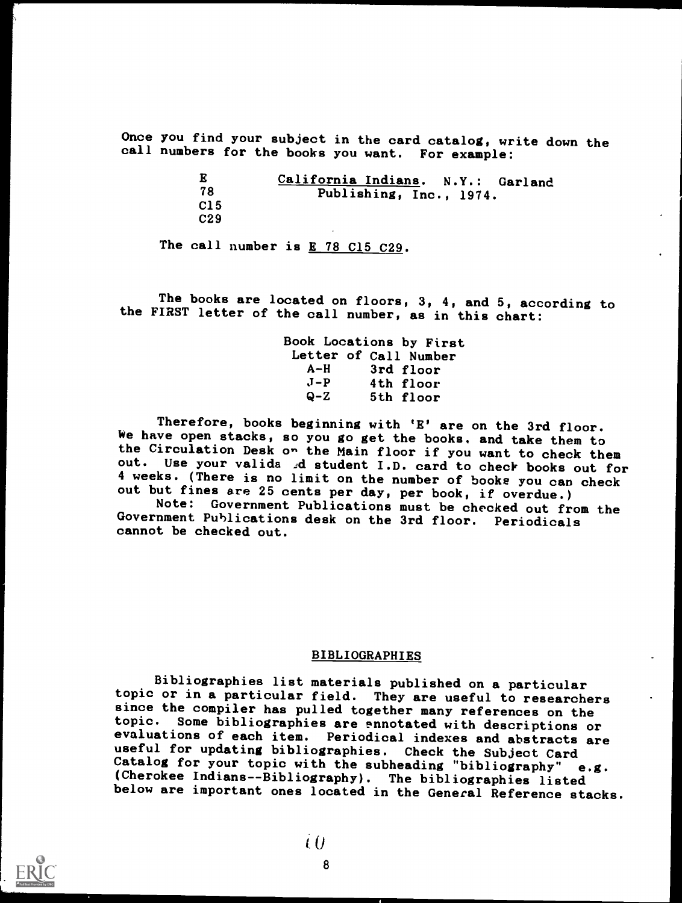Once you find your subject in the card catalog, write down the call numbers for the books you want. For example:

> E 78 C15 C29 California Indians. N.Y.: Garland Publishing, Inc., 1974.

The call number is  $E$  78 C15 C29.

The books are located on floors, 3, 4, and 5, according to the FIRST letter of the call number, as in this chart:

> Book Locations by First Letter of Call Number<br>A-H 3rd floor A-H 3rd floor<br>J-P 4th floor J-P 4th floor 5th floor

Therefore, books beginning with 'E' are on the 3rd floor. We have open stacks, so you go get the books. and take them to the Circulation Desk on the Main floor if you want to check them out. Use your valida d student I.D. card to check books out for 4 weeks. (There is no limit on the number of books you can check out but fines are 25 cents per day, per book, if overdue.)

Note: Government Publications must be checked out from the Government Publications desk on the 3rd floor. Periodicals cannot be checked out.

#### BIBLIOGRAPHIES

Bibliographies list materials published on a particular topic or in a particular field. They are useful to researchers since the compiler has pulled together many references on the topic. Some bibliographies are ennotated with descriptions or evaluations of each item. Periodical indexes and abstracts are useful for updating bibliographies. Check the Subject Card<br>Catalog for your topic with the subheading "bibliography" e.g. (Cherokee Indians--Bibliography). The bibliographies listed below are important ones located in the General Reference stacks.

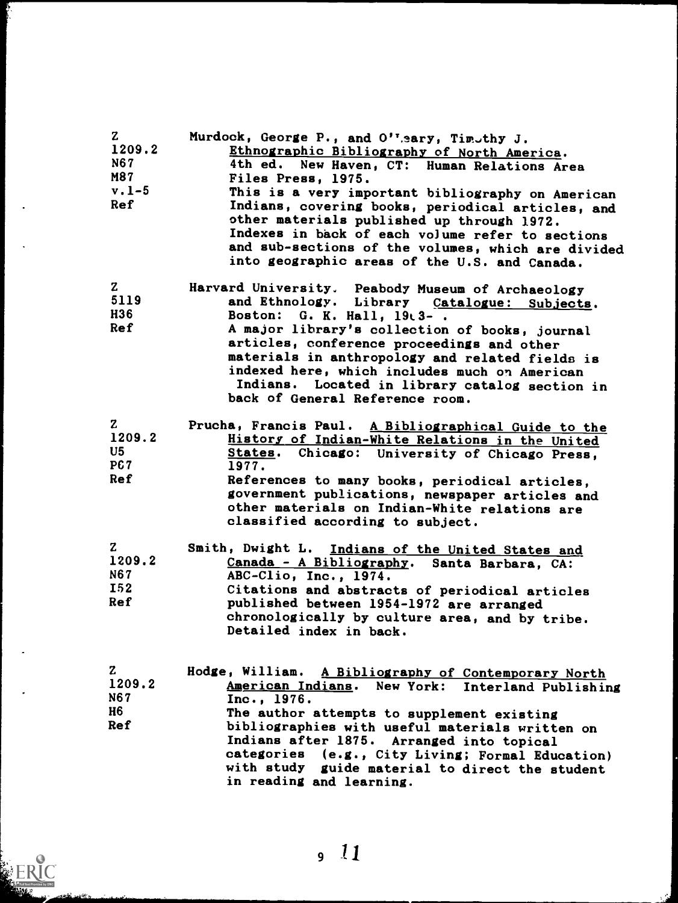| $\mathbf{z}$<br>1209.2<br><b>N67</b><br>M87<br>$v.1-5$<br><b>Ref</b> | Murdock, George P., and O''sary, Timothy J.<br>Ethnographic Bibliography of North America.<br>4th ed. New Haven, CT: Human Relations Area<br>Files Press, 1975.<br>This is a very important bibliography on American<br>Indians, covering books, periodical articles, and<br>other materials published up through 1972.<br>Indexes in back of each volume refer to sections<br>and sub-sections of the volumes, which are divided                                        |
|----------------------------------------------------------------------|--------------------------------------------------------------------------------------------------------------------------------------------------------------------------------------------------------------------------------------------------------------------------------------------------------------------------------------------------------------------------------------------------------------------------------------------------------------------------|
| $\mathbf{z}$<br>5119<br>H36<br>Ref                                   | into geographic areas of the U.S. and Canada.<br>Harvard University. Peabody Museum of Archaeology<br>and Ethnology. Library Catalogue: Subjects.<br>Boston: G. K. Hall, 19t3-.<br>A major library's collection of books, journal<br>articles, conference proceedings and other<br>materials in anthropology and related fields is<br>indexed here, which includes much on American<br>Indians. Located in library catalog section in<br>back of General Reference room. |
| $\mathbf{z}$<br>1209.2<br>U5<br><b>PC7</b><br><b>Ref</b>             | Prucha, Francis Paul. A Bibliographical Guide to the<br>History of Indian-White Relations in the United<br>States. Chicago: University of Chicago Press,<br>1977.<br>References to many books, periodical articles,<br>government publications, newspaper articles and<br>other materials on Indian-White relations are<br>classified according to subject.                                                                                                              |
| $\mathbf{z}$<br>1209.2<br><b>N67</b><br><b>I52</b><br>Ref            | Smith, Dwight L. Indians of the United States and<br>Canada - A Bibliography. Santa Barbara, CA:<br>ABC-Clio, Inc., 1974.<br>Citations and abstracts of periodical articles<br>published between 1954-1972 are arranged<br>chronologically by culture area, and by tribe.<br>Detailed index in back.                                                                                                                                                                     |
| $\mathbf{Z}$<br>1209.2<br><b>N67</b><br>H6<br><b>Ref</b>             | Hodge, William. A Bibliography of Contemporary North<br>American Indians. New York: Interland Publishing<br>Inc., 1976.<br>The author attempts to supplement existing<br>bibliographies with useful materials written on<br>Indians after 1875. Arranged into topical<br>categories (e.g., City Living; Formal Education)<br>with study guide material to direct the student<br>in reading and learning.                                                                 |

ERIC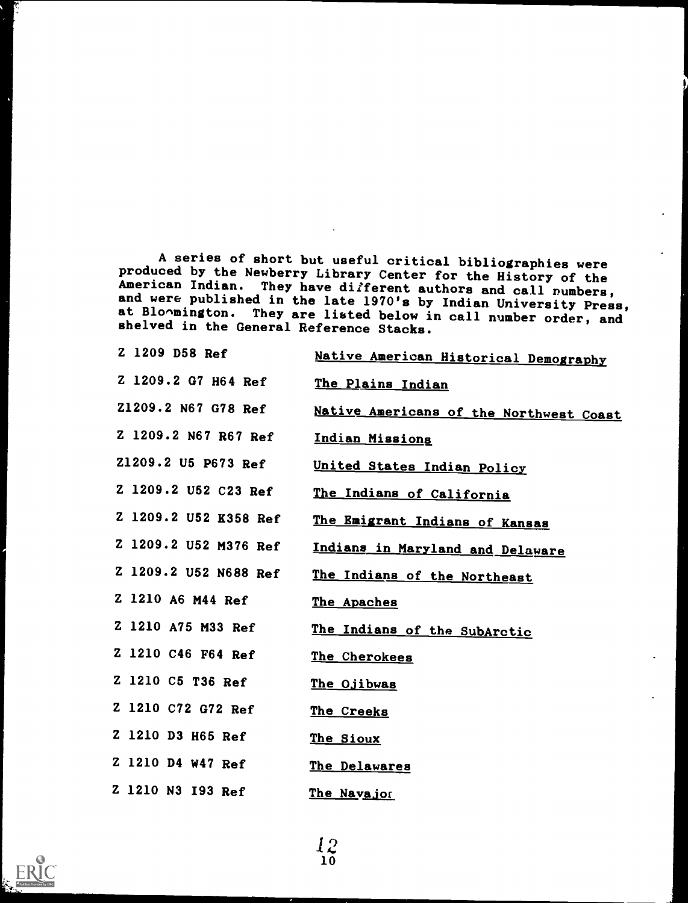A series of short but useful critical bibliographies were<br>produced by the Newberry Library Center for the History of the<br>American Indian. They have different authors and call numbers,<br>and were published in the late 1970's

| Z 1209 D58 Ref        | Native American Historical Demography   |
|-----------------------|-----------------------------------------|
| Z 1209.2 G7 H64 Ref   | The Plains Indian                       |
| Z1209.2 N67 G78 Ref   | Native Americans of the Northwest Coast |
| Z 1209.2 N67 R67 Ref  | Indian Missions                         |
| Z1209.2 U5 P673 Ref   | United States Indian Policy             |
| Z 1209.2 U52 C23 Ref  | The Indians of California               |
| Z 1209.2 U52 K358 Ref | The Emigrant Indians of Kansas          |
| Z 1209.2 U52 M376 Ref | Indians in Maryland and Delaware        |
| Z 1209.2 U52 N688 Ref | The Indians of the Northeast            |
| Z 1210 A6 M44 Ref     | The Apaches                             |
| Z 1210 A75 M33 Ref    | The Indians of the SubArctic            |
| Z 1210 C46 F64 Ref    | The Cherokees                           |
| Z 1210 C5 T36 Ref     | The Ojibwas                             |
| Z 1210 C72 G72 Ref    | The Creeks                              |
| Z 1210 D3 H65 Ref     | The Sioux                               |
| Z 1210 D4 W47 Ref     | The Delawares                           |
| Z 1210 N3 193 Ref     | The Navajor                             |

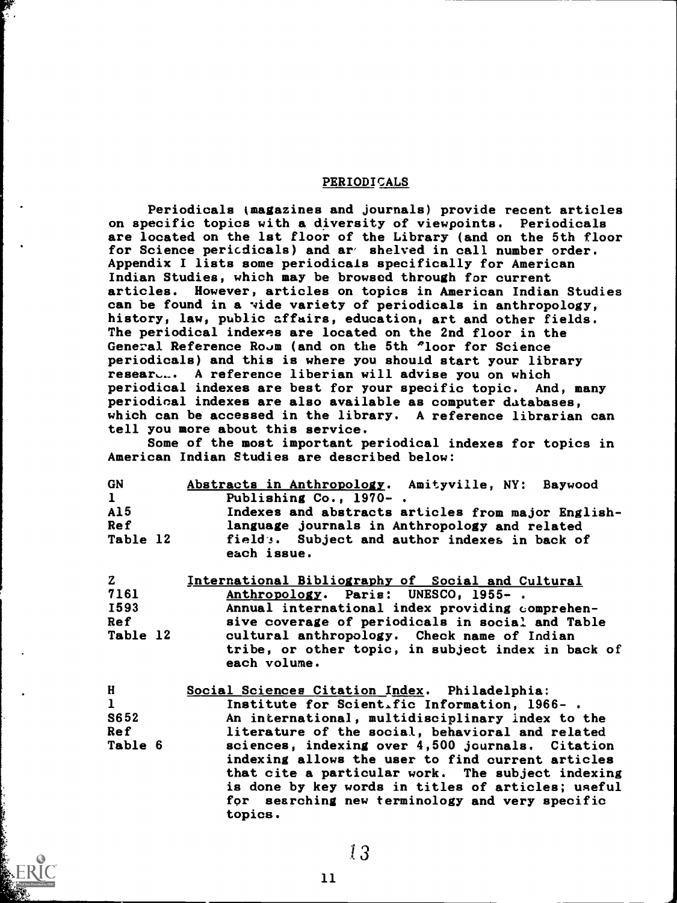#### PERIODICALS

Periodicals (magazines and journals) provide recent articles on specific topics with a diversity of viewpoints. Periodicals are located on the 1st floor of the Library (and on the 5th floor for Science pericdicals) and ar' shelved in call number order. Appendix I lists some periodicals specifically for American Indian Studies, which may be browsed through for current articles. However, articles on topics in American Indian Studies can be found in a vide variety of periodicals in anthropology, history, law, public affairs, education, art and other fields. The periodical indexes are located on the 2nd floor in the General Reference Room (and on the 5th 'loor for Science periodicals) and this is where you should start your library resear... A reference liberian will advise you on which periodical indexes are best for your specific topic. And, many periodical indexes are also available as computer databases, which can be accessed in the library. A reference librarian can tell you more about this service.

Some of the most important periodical indexes for topics in American Indian Studies are described below:

| <b>GN</b>    | Abstracts in Anthropology. Amityville, NY: Baywood           |
|--------------|--------------------------------------------------------------|
| $\mathbf{1}$ | Publishing Co., 1970-.                                       |
| AI5          | Indexes and abstracts articles from major English-           |
| <b>Ref</b>   | language journals in Anthropology and related                |
| Table 12     | field:. Subject and author indexes in back of<br>each issue. |

| $\mathbf{z}$ | International Bibliography of Social and Cultural  |
|--------------|----------------------------------------------------|
| 7161         | Anthropology. Paris: UNESCO, 1955-.                |
| <b>I593</b>  | Annual international index providing comprehen-    |
| <b>Ref</b>   | sive coverage of periodicals in social and Table   |
| Table 12     | cultural anthropology. Check name of Indian        |
|              | tribe, or other topic, in subject index in back of |
|              | each volume.                                       |
|              |                                                    |

| H            | Social Sciences Citation Index. Philadelphia:      |
|--------------|----------------------------------------------------|
| $\mathbf{1}$ | Institute for Scientific Information, 1966-.       |
| S652         | An international, multidisciplinary index to the   |
| <b>Ref</b>   | literature of the social, behavioral and related   |
| Table 6      | sciences, indexing over 4,500 journals. Citation   |
|              | indexing allows the user to find current articles  |
|              | that cite a particular work. The subject indexing  |
|              | is done by key words in titles of articles; useful |
|              | for searching new terminology and very specific    |
|              | topics.                                            |
|              |                                                    |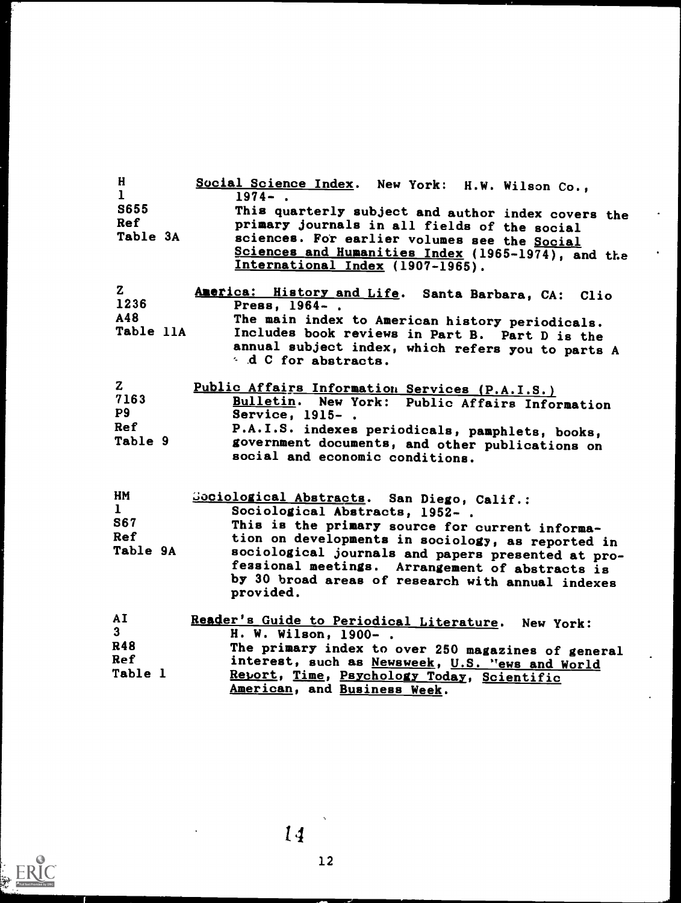| H.<br>$\mathbf{1}$<br><b>S655</b><br>Ref<br>Table 3A        | Social Science Index. New York: H.W. Wilson Co.,<br>$1974 - .$<br>This quarterly subject and author index covers the<br>primary journals in all fields of the social<br>sciences. For earlier volumes see the Social<br>Sciences and Humanities Index (1965-1974), and the<br>International Index (1907-1965).                                                  |
|-------------------------------------------------------------|-----------------------------------------------------------------------------------------------------------------------------------------------------------------------------------------------------------------------------------------------------------------------------------------------------------------------------------------------------------------|
| $\mathbf{z}$<br>1236<br>A48<br>Table 11A                    | America: History and Life. Santa Barbara, CA: Clio<br>Press, 1964-.<br>The main index to American history periodicals.<br>Includes book reviews in Part B. Part D is the<br>annual subject index, which refers you to parts A<br>d C for abstracts.                                                                                                             |
| $\mathbf{z}$<br>7163<br><b>P9</b><br>Ref<br>Table 9         | Public Affairs Information Services (P.A.I.S.)<br>Bulletin. New York: Public Affairs Information<br>Service, 1915-.<br>P.A.I.S. indexes periodicals, pamphlets, books,<br>government documents, and other publications on<br>social and economic conditions.                                                                                                    |
| HM<br>$\mathbf{1}$<br><b>S67</b><br><b>Ref</b><br>Table 9A  | Gociological Abstracts. San Diego, Calif.:<br>Sociological Abstracts, 1952-.<br>This is the primary source for current informa-<br>tion on developments in sociology, as reported in<br>sociological journals and papers presented at pro-<br>fessional meetings. Arrangement of abstracts is<br>by 30 broad areas of research with annual indexes<br>provided. |
| AI<br>3 <sup>1</sup><br>R48<br><b>Ref</b><br><b>Table 1</b> | Reader's Guide to Periodical Literature. New York:<br>H. W. Wilson, 1900-.<br>The primary index to over 250 magazines of general<br>interest, such as Newsweek, U.S. "ews and World<br>Report, Time, Psychology Today, Scientific<br>American, and Business Week.                                                                                               |

 $14$ 

 $\ddot{\phantom{0}}$ 

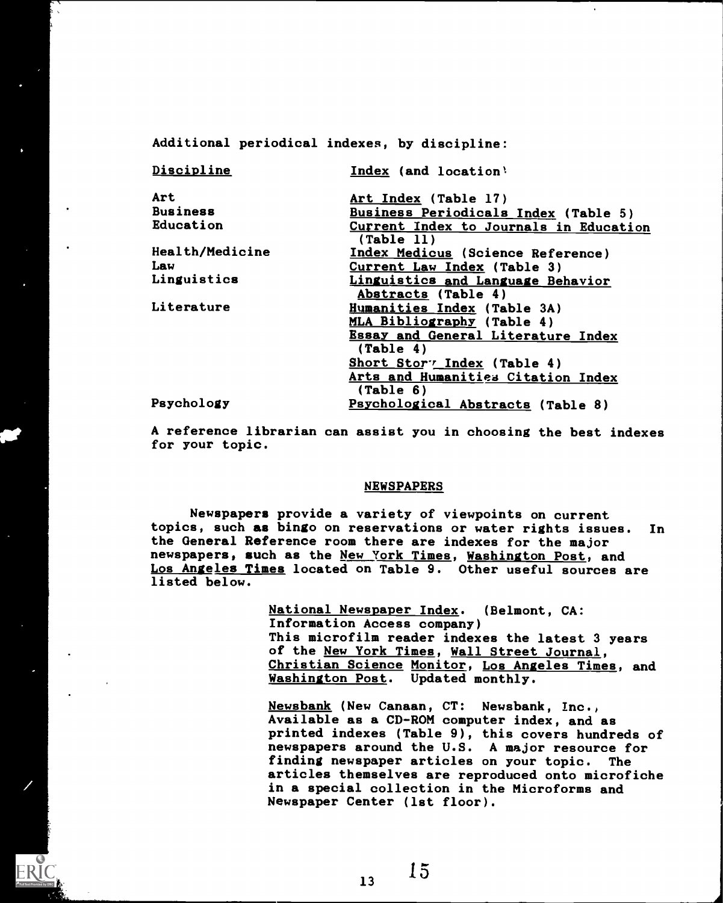Additional periodical indexes, by discipline:

| Discipline      | Index (and location)                                 |
|-----------------|------------------------------------------------------|
| Art             | Art Index (Table 17)                                 |
| <b>Business</b> | Business Periodicals Index (Table 5)                 |
| Education       | Current Index to Journals in Education<br>(Table 11) |
| Health/Medicine | Index Medicus (Science Reference)                    |
| Law             | Current Law Index (Table 3)                          |
| Linguistics     | Linguistics and Language Behavior                    |
|                 | Abstracts (Table 4)                                  |
| Literature      | Humanities Index (Table 3A)                          |
|                 | MLA Bibliography (Table 4)                           |
|                 | <b>Essay and General Literature Index</b>            |
|                 | (Table 4)                                            |
|                 | Short Stor <sup>7</sup> Index (Table 4)              |
|                 | Arts and Humanities Citation Index                   |
|                 | $(\text{Table } 6)$                                  |
| Psychology      | Psychological Abstracts (Table 8)                    |

A reference librarian can assist you in choosing the best indexes for your topic.

#### NEWSPAPERS

Newspapers provide a variety of viewpoints on current topics, such as bingo on reservations or water rights issues. In the General Reference room there are indexes for the major newspapers, such as the New York Times, Washington Post, and Los Angeles Times located on Table 9. Other useful sources are listed below.

> National Newspaper Index. (Belmont, CA: Information Access company) This microfilm reader indexes the latest 3 years of the New York Times, Wall Street Journal, Christian Science Monitor, Los Angeles Times, and Washington Post. Updated monthly.

Newsbank (New Canaan, CT: Newsbank, Inc., Available as a CD-ROM computer index, and as printed indexes (Table 9), this covers hundreds of newspapers around the U.S. A major resource for finding newspaper articles on your topic. The articles themselves are reproduced onto microfiche in a special collection in the Microforms and Newspaper Center (1st floor).

 $13$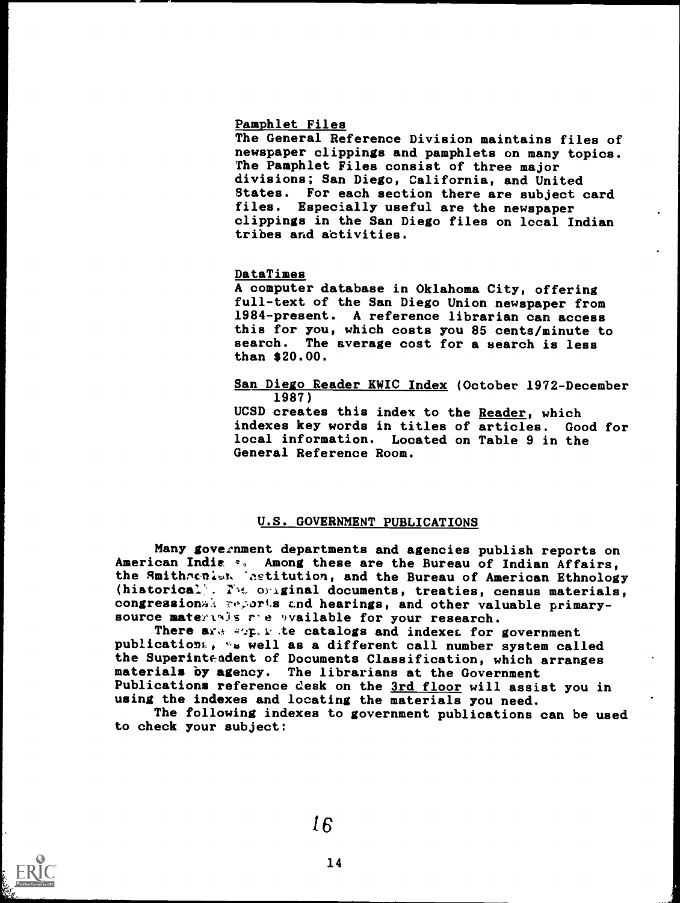#### Pamphlet Files

The General Reference Division maintains files of newspaper clippings and pamphlets on many topics. The Pamphlet Files consist of three major divisions; San Diego, California, and United States. For each section there are subject card files. Especially useful are the newspaper clippings in the San Diego files on local Indian tribes and activities.

#### DataTimes

A computer database in Oklahoma City, offering full-text of the San Diego Union newspaper from 1984-present. A reference librarian can access this for you, which costs you 85 cents/minute to search. The average cost for a search is less than \$20.00.

#### San Diego Reader KWIC Index (October 1972-December 1987)

UCSD creates this index to the Reader, which indexes key words in titles of articles. Good for local information. Located on Table 9 in the General Reference Room.

#### U.S. GOVERNMENT PUBLICATIONS

Many government departments and agencies publish reports on American India  $\frac{1}{2}$ . Among these are the Bureau of Indian Affairs, the Smithronist. Tastitution, and the Bureau of American Ethnology (historical). Yhe original documents, treaties, census materials, congression a reports and hearings, and other valuable primarysource materials are available for your research.

There are superite catalogs and indexes for government publications, we well as a different call number system called the Superintendent of Documents Classification, which arranges materials by agency. The librarians at the Government Publications reference desk on the 3rd floor will assist you in using the indexes and locating the materials you need.

The following indexes to government publications can be used to check your subject:

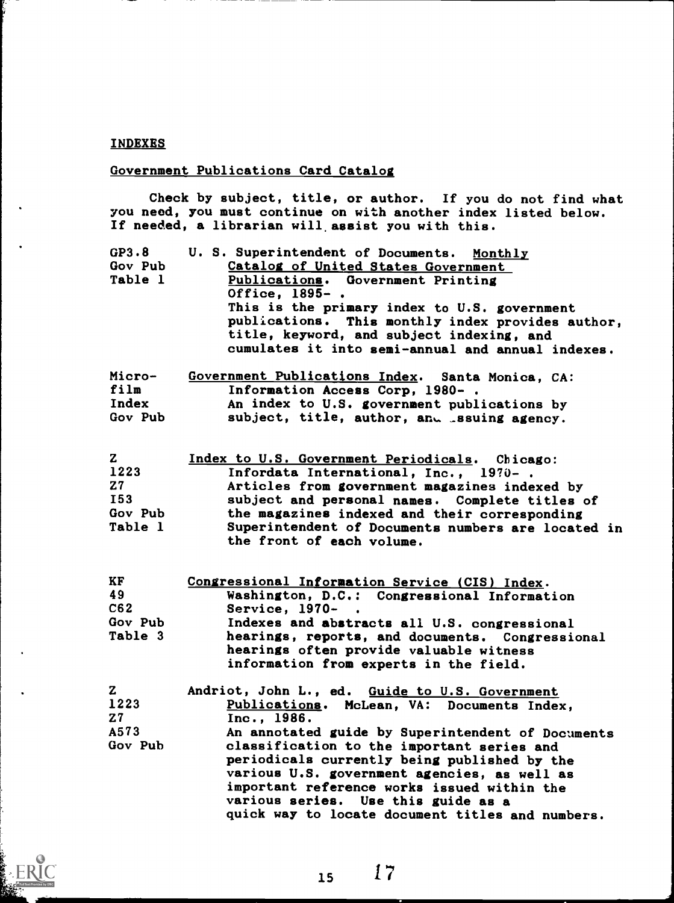#### INDEXES

#### Government Publications Card Catalog

Check by subject, title, or author. If you do not find what you need, you must continue on with another index listed below. If needed, a librarian will, assist you with this.

| GP3.8   | U. S. Superintendent of Documents. Monthly        |
|---------|---------------------------------------------------|
| Gov Pub | Catalog of United States Government               |
| Table 1 | Publications. Government Printing                 |
|         | Office, 1895-.                                    |
|         | This is the primary index to U.S. government      |
|         | publications. This monthly index provides author, |
|         | title, keyword, and subject indexing, and         |
|         | cumulates it into semi-annual and annual indexes. |
|         |                                                   |

| Micro-  | Government Publications Index. Santa Monica, CA: |
|---------|--------------------------------------------------|
| film    | Information Access Corp, 1980-.                  |
| Index   | An index to U.S. government publications by      |
| Gov Pub | subject, title, author, and essuing agency.      |

| Index to U.S. Government Periodicals. Chicago:                                  |
|---------------------------------------------------------------------------------|
| Infordata International, Inc., 1970-.                                           |
| Articles from government magazines indexed by                                   |
| subject and personal names. Complete titles of                                  |
| the magazines indexed and their corresponding                                   |
| Superintendent of Documents numbers are located in<br>the front of each volume. |
|                                                                                 |

| KF      | Congressional Information Service (CIS) Index.                                             |
|---------|--------------------------------------------------------------------------------------------|
| 49      | Washington, D.C.: Congressional Information                                                |
| C62     | Service, 1970- .                                                                           |
| Gov Pub | Indexes and abstracts all U.S. congressional                                               |
| Table 3 | hearings, reports, and documents. Congressional<br>hearings often provide valuable witness |
|         | information from experts in the field.                                                     |

| Z.             | Andriot, John L., ed. Guide to U.S. Government    |
|----------------|---------------------------------------------------|
| 1223           | Publications. McLean, VA: Documents Index,        |
| Z <sub>7</sub> | Inc., 1986.                                       |
| A573           | An annotated guide by Superintendent of Documents |
| Gov Pub        | classification to the important series and        |
|                | periodicals currently being published by the      |
|                | various U.S. government agencies, as well as      |
|                | important reference works issued within the       |
|                | various series. Use this guide as a               |
|                | quick way to locate document titles and numbers.  |

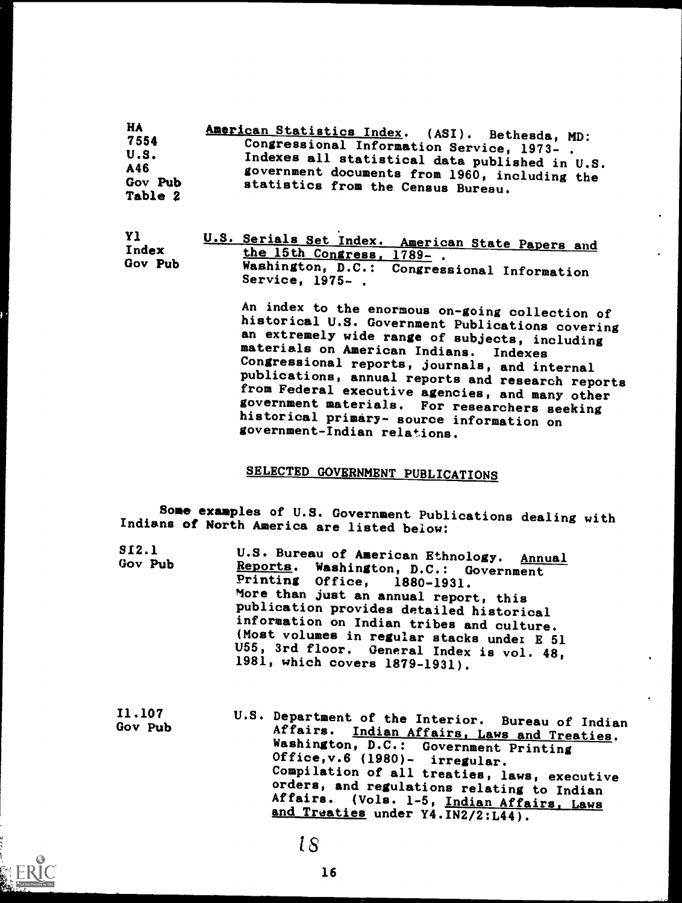| HA.     | American Statistics Index. (ASI). Bethesda, MD:                                     |
|---------|-------------------------------------------------------------------------------------|
| 7554    | Congressional Information Service, 1973-.                                           |
| U.S.    | Indexes all statistical data published in U.S.                                      |
| A46     |                                                                                     |
| Gov Pub | government documents from 1960, including the<br>statistics from the Census Bureau. |
| Table 2 |                                                                                     |

| -Y 1    | <u>U.S. Serials Set Index. American State Papers and</u> |  |
|---------|----------------------------------------------------------|--|
| Index   | the 15th Congress, 1789-.                                |  |
| Gov Pub | Washington, D.C.: Congressional Information              |  |
|         | Service, 1975–                                           |  |

An index to the enormous on-going collection of historical U.S. Government Publications covering<br>an extremely wide range of subjects, including materials on American Indians. Indexes Congressional reports, journals, and internal from Federal executive agencies, and many other government materials. For researchers seeking historical primary- source information on government-Indian relations.

### SELECTED GOVERNMENT PUBLICATIONS

Some examples of U.S. Government Publications dealing with Indians of North America are listed below:

| SI2.1   | U.S. Bureau of American Ethnology. Annual                                   |
|---------|-----------------------------------------------------------------------------|
| Gov Pub | Reports. Washington, D.C.: Government                                       |
|         | Printing Office, 1880-1931.                                                 |
|         | More than just an annual report, this                                       |
|         | publication provides detailed historical                                    |
|         | information on Indian tribes and culture.                                   |
|         | (Most volumes in regular stacks under E 51                                  |
|         | U55, 3rd floor. General Index is vol. 48,<br>1981, which covers 1879-1931). |

11.107 Gov Pub U.S. Department of the Interior. Bureau of Indian Affairs. Indian Affairs, Laws and Treaties. Washington, D.C.: Government Printing Office,v.6 (1980)- irregular. Compilation of all treaties, laws, executive orders, and regulations relating to Indian Affairs. (Vols. 1-5, Indian Affairs, Laws and Treaties under Y4. IN2/2:L44).

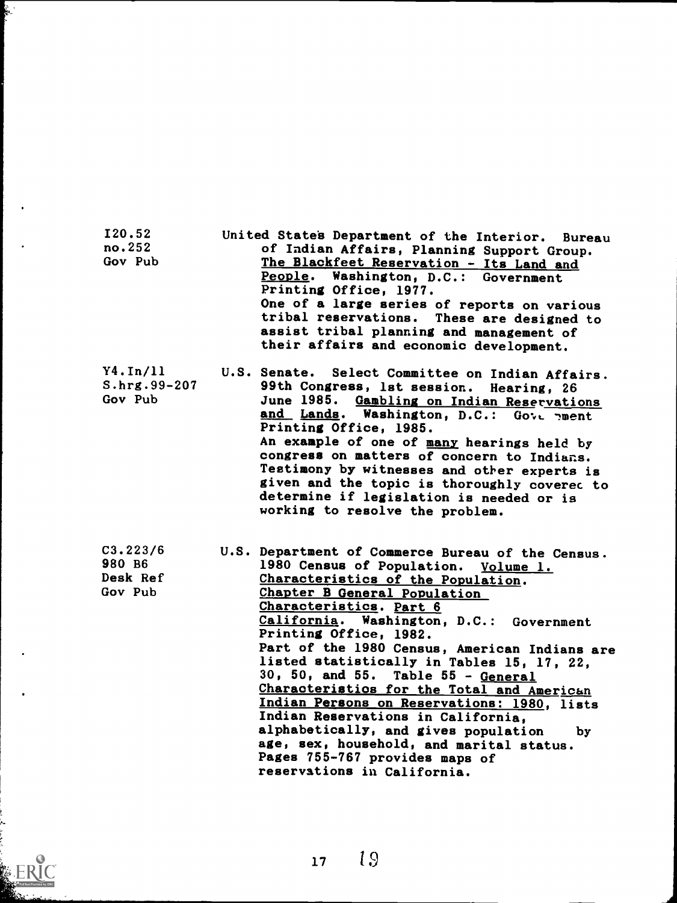| I20.52<br>no.252<br>Gov Pub               | United States Department of the Interior. Bureau<br>of Indian Affairs, Planning Support Group.<br>The Blackfeet Reservation - Its Land and<br>People. Washington, D.C.: Government<br>Printing Office, 1977.<br>One of a large series of reports on various<br>tribal reservations. These are designed to<br>assist tribal planning and management of<br>their affairs and economic development.                                                                                                                                                                                                                                                                                                    |
|-------------------------------------------|-----------------------------------------------------------------------------------------------------------------------------------------------------------------------------------------------------------------------------------------------------------------------------------------------------------------------------------------------------------------------------------------------------------------------------------------------------------------------------------------------------------------------------------------------------------------------------------------------------------------------------------------------------------------------------------------------------|
| Y4. In/11<br>S.hrg.99-207<br>Gov Pub      | U.S. Senate.<br>Select Committee on Indian Affairs.<br>99th Congress, 1st session. Hearing, 26<br><b>June 1985.</b><br>Gambling on Indian Reservations<br>and Lands. Washington, D.C.: Gove pment<br>Printing Office, 1985.<br>An example of one of many hearings held by<br>congress on matters of concern to Indians.<br>Testimony by witnesses and other experts is<br>given and the topic is thoroughly covered to<br>determine if legislation is needed or is<br>working to resolve the problem.                                                                                                                                                                                               |
| C3.223/6<br>980 B6<br>Desk Ref<br>Gov Pub | U.S. Department of Commerce Bureau of the Census.<br>1980 Census of Population. Volume 1.<br>Characteristics of the Population.<br>Chapter B General Population<br>Characteristics. Part 6<br>California. Washington, D.C.: Government<br>Printing Office, 1982.<br>Part of the 1980 Census, American Indians are<br>listed statistically in Tables 15, 17, 22,<br>30, 50, and 55. Table 55 - General<br>Characteristics for the Total and American<br>Indian Persons on Reservations: 1980, lists<br>Indian Reservations in California,<br>alphabetically, and gives population<br>by<br>age, sex, household, and marital status.<br>Pages 755-767 provides maps of<br>reservations in California. |

ويقطع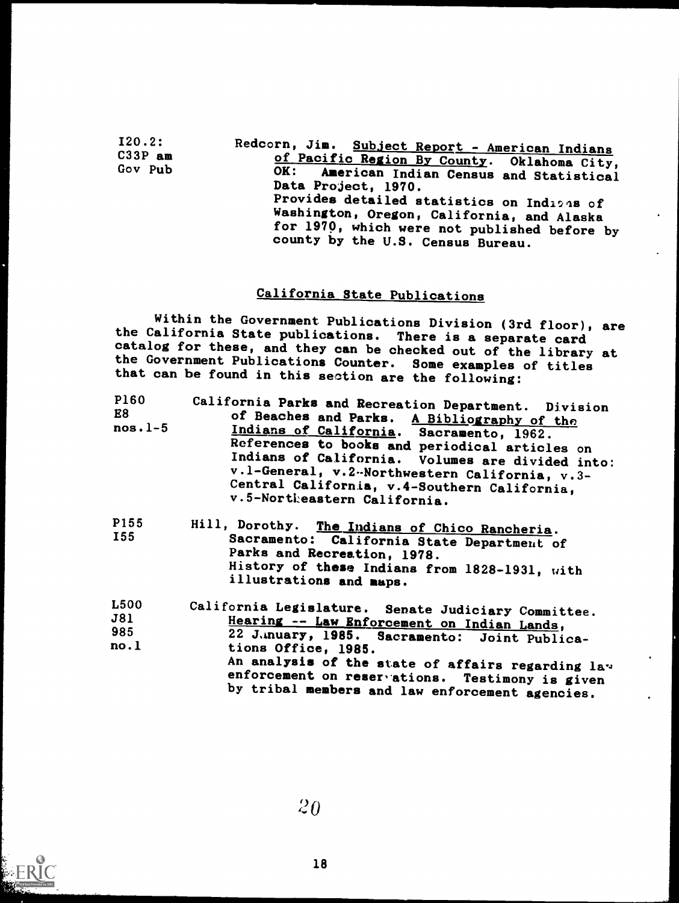120.2: C33P am Gov Pub

Redcorn, Jim. Subject Report - American Indians of Pacific Region By County. Oklahoma City,<br>OK: American Indian Census and Statistical American Indian Census and Statistical Data Project, 1970. Provides detailed statistics on Indians of Washington, Oregon, California, and Alaska county by the U.S. Census Bureau.

### California State Publications

Within the Government Publications Division (3rd floor), are the California State publications. There is a separate card catalog for these, and they can be checked out of the library at catalog for the covernment Publications Counter. Some examples of titles that can be found in this section are the following:

| <b>P160</b><br>E8<br>$nos. 1-5$ | California Parks and Recreation Department. Division<br>of Beaches and Parks. A Bibliography of the<br>Indians of California. Sacramento, 1962.<br>References to books and periodical articles on<br>Indians of California. Volumes are divided into:<br>v.l-General, v.2 -Northwestern California, v.3-<br>Central California, v.4-Southern California,<br>v.5-Northeastern California. |  |  |  |  |  |  |  |
|---------------------------------|------------------------------------------------------------------------------------------------------------------------------------------------------------------------------------------------------------------------------------------------------------------------------------------------------------------------------------------------------------------------------------------|--|--|--|--|--|--|--|
| P155<br>I55                     | Hill, Dorothy. The Indians of Chico Rancheria.<br>Sacramento: California State Department of<br>Parks and Recreation, 1978.<br>History of these Indians from 1828-1931, with<br>illustrations and maps.                                                                                                                                                                                  |  |  |  |  |  |  |  |

| L500 | California Legislature. Senate Judiciary Committee. |  |
|------|-----------------------------------------------------|--|
| J81  | Hearing -- Law Enforcement on Indian Lands,         |  |
| 985  | 22 J.inuary, 1985. Sacramento: Joint Publica-       |  |
| no.1 | tions Office, 1985.                                 |  |
|      | An analysis of the state of affairs regarding lav   |  |
|      | enforcement on reservations. Testimony is given     |  |
|      | by tribal members and law enforcement agencies.     |  |

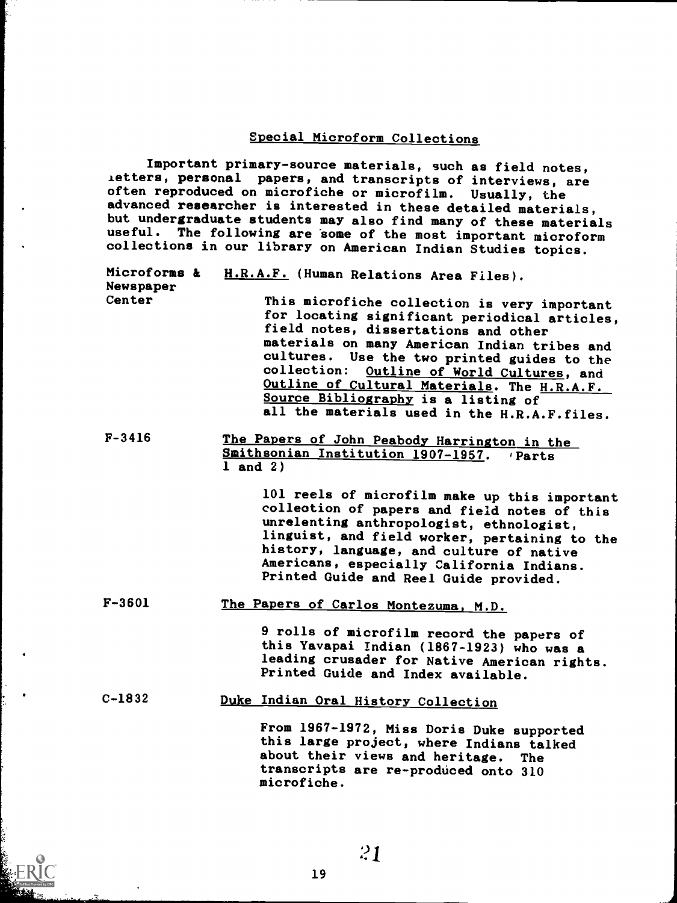#### Special Microform Collections

Important primary-source materials, such as field notes, ietters, personal papers, and transcripts of interviews, are<br>often reproduced on microfiche or microfilm. Usually, the often reproduced on microfiche or microfilm. advanced researcher is interested in these detailed materials, but undergraduate students may also find many of these materials useful. The following are some of the most important microform collections in our library on American Indian Studies topics.

| Microforms &<br>Newspaper | H.R.A.F. (Human Relations Area Files).                                                                                                                                                                                                                                                                                                                                                                                   |
|---------------------------|--------------------------------------------------------------------------------------------------------------------------------------------------------------------------------------------------------------------------------------------------------------------------------------------------------------------------------------------------------------------------------------------------------------------------|
| Center                    | This microfiche collection is very important<br>for locating significant periodical articles,<br>field notes, dissertations and other<br>materials on many American Indian tribes and<br>cultures. Use the two printed guides to the<br>collection: Outline of World Cultures, and<br>Outline of Cultural Materials. The H.R.A.F.<br>Source Bibliography is a listing of<br>all the materials used in the H.R.A.F.files. |
|                           |                                                                                                                                                                                                                                                                                                                                                                                                                          |

F-3416 The Papers of John Peabody Harrington in the Smithsonian Institution 1907-1957. 'Parts 1 and 2)

> 101 reels of microfilm make up this important collection of papers and field notes of this unrelenting anthropologist, ethnologist, linguist, and field worker, pertaining to the history, language, and culture of native Americans, especially California Indians. Printed Guide and Reel Guide provided.

F-3601 The Papers of Carlos Montezuma, M.D.

9 rolls of microfilm record the papers of this Yavapai Indian (1867-1923) who was a leading crusader for Native American rights. Printed Guide and Index available.

### C-1832 Duke Indian Oral History Collection

From 1967-1972, Miss Doris Duke supported this large project, where Indians talked about their views and heritage. The transcripts are re-produced onto 310 microfiche.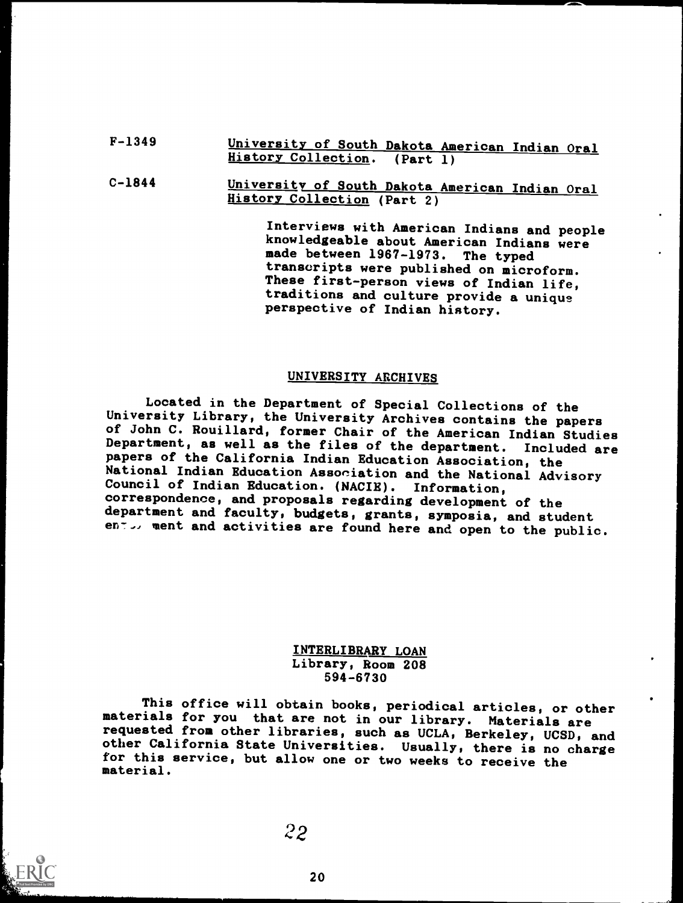#### F-1349 University of South Dakota American Indian Oral History Collection. (Part 1)

#### C-1844 University of South Dakota American Indian Oral History Collection (Part 2)

Interviews with American Indians and people knowledgeable about American Indians were made between 1967-1973. The typed transcripts were published on microform. These first-person views of Indian life, traditions and culture provide a unique perspective of Indian history.

#### UNIVERSITY ARCHIVES

Located in the Department of Special Collections of the<br>University Library, the University Archives contains the papers of John C. Rouillard, former Chair of the American Indian Studies Department, as well as the files of the department. Included are papers of the California Indian Education Association, the National Indian Education Association and the National Advisory Council of Indian Education. (NACIE). Information, correspondence, and proposals regarding development of the department and faculty, budgets, grants, symposia, and student ento, ment and activities are found here and open to the public.

#### INTERLIBRARY LOAN Library, Room 208 594-6730

This office will obtain books, periodical articles, or other materials for you that are not in our library. Materials are requested from other libraries, such as UCLA, Berkeley, UCSD, and other California State Universities. Usually, there is no charge for this service, but allow one or two weeks to receive the material.

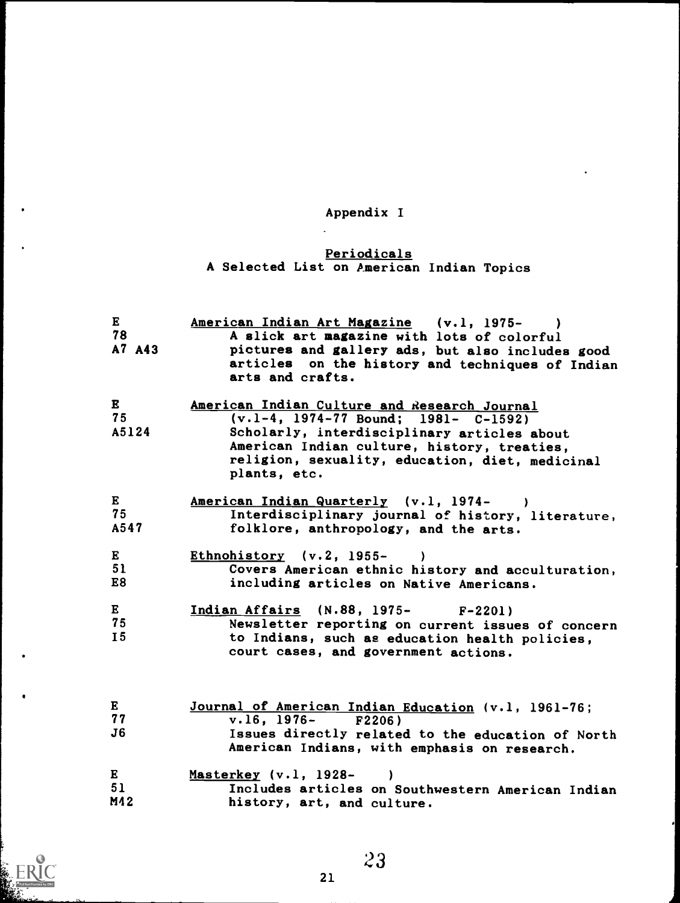## Appendix I

#### Periodicals A Selected List on American Indian Topics

| $\bf{E}$<br>78<br>A7 A43    | American Indian Art Magazine (v.l, 1975-<br>A slick art magazine with lots of colorful<br>pictures and gallery ads, but also includes good<br>articles on the history and techniques of Indian<br>arts and crafts.                                        |
|-----------------------------|-----------------------------------------------------------------------------------------------------------------------------------------------------------------------------------------------------------------------------------------------------------|
| $\mathbf{E}$<br>75<br>A5124 | American Indian Culture and Research Journal<br>$(v.1-4, 1974-77$ Bound; $1981- C-1592)$<br>Scholarly, interdisciplinary articles about<br>American Indian culture, history, treaties,<br>religion, sexuality, education, diet, medicinal<br>plants, etc. |
| $\bf{E}$<br>75<br>A547      | American Indian Quarterly (v.1, 1974-)<br>Interdisciplinary journal of history, literature,<br>folklore, anthropology, and the arts.                                                                                                                      |
| E<br>51<br>E8               | Ethnohistory $(v.2, 1955-$<br>Covers American ethnic history and acculturation,<br>including articles on Native Americans.                                                                                                                                |
| $\bf{E}$<br>75<br><b>I5</b> | Indian Affairs (N.88, 1975- F-2201)<br>Newsletter reporting on current issues of concern<br>to Indians, such as education health policies,<br>court cases, and government actions.                                                                        |
| $\bf{E}$<br>77<br>J6        | Journal of American Indian Education (v.1, 1961-76;<br>$v.16$ , 1976- F2206)<br>Issues directly related to the education of North<br>American Indians, with emphasis on research.                                                                         |
| E<br>51<br>M12              | Masterkey (v.1, 1928-<br>Includes articles on Southwestern American Indian<br>history, art, and culture.                                                                                                                                                  |

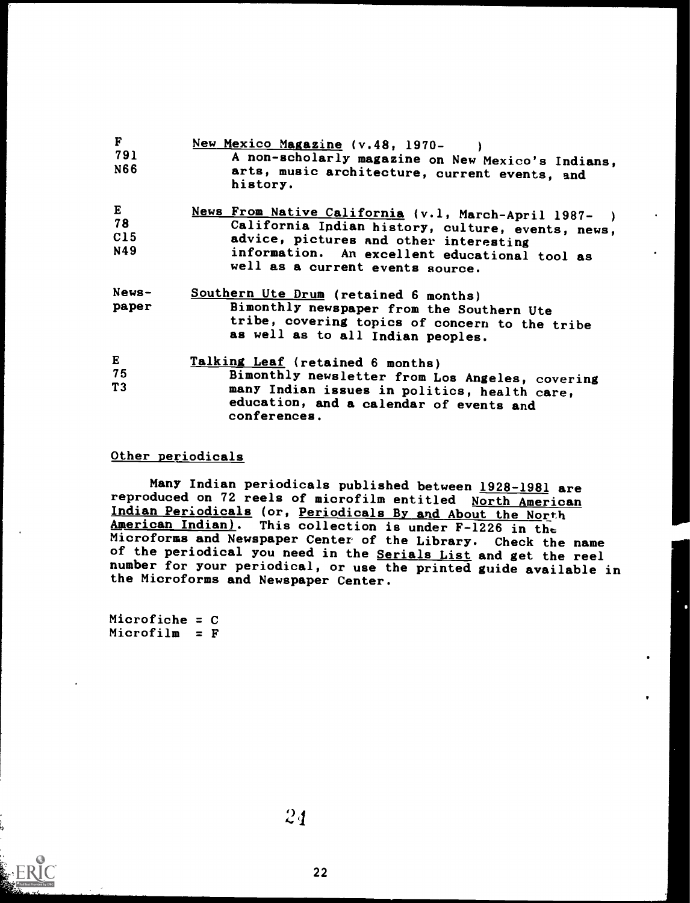| F<br>791<br>N66         | New Mexico Magazine (v.48, 1970-<br>A non-scholarly magazine on New Mexico's Indians,<br>arts, music architecture, current events, and<br>history.                                                                                       |  |
|-------------------------|------------------------------------------------------------------------------------------------------------------------------------------------------------------------------------------------------------------------------------------|--|
| E<br>78<br>C15<br>N49   | News From Native California (v.1, March-April 1987-)<br>California Indian history, culture, events, news,<br>advice, pictures and other interesting<br>information. An excellent educational tool as<br>well as a current events source. |  |
| $News-$<br>paper        | Southern Ute Drum (retained 6 months)<br>Bimonthly newspaper from the Southern Ute<br>tribe, covering topics of concern to the tribe<br>as well as to all Indian peoples.                                                                |  |
| $\mathbf E$<br>75<br>T3 | Talking Leaf (retained 6 months)<br>Bimonthly newsletter from Los Angeles, covering<br>many Indian issues in politics, health care,<br>education, and a calendar of events and<br>conferences.                                           |  |

#### Other periodicals

Many Indian periodicals published between 1928-1981 are reproduced on 72 reels of microfilm entitled North American Indian Periodicals (or, Periodicals By and About the North American Indian). This collection is under F-1226 in the Microforms and Newspaper Center of the Library. Check the name of the periodical you need in the Serials List and get the reel number for your periodical, or use the printed guide available in the Microforms and Newspaper Center.

Microfiche = C  $Microfilm = F$ 

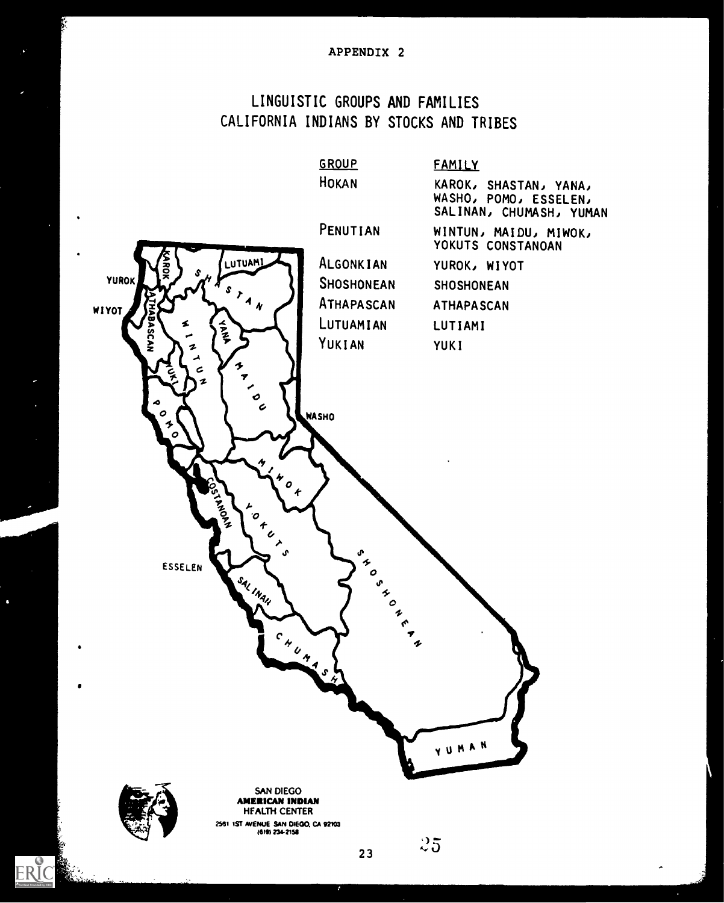#### APPENDIX 2

## LINGUISTIC GROUPS AND FAMILIES CALIFORNIA INDIANS BY STOCKS AND TRIBES



 $\ddot{\bullet}$ 

ERIC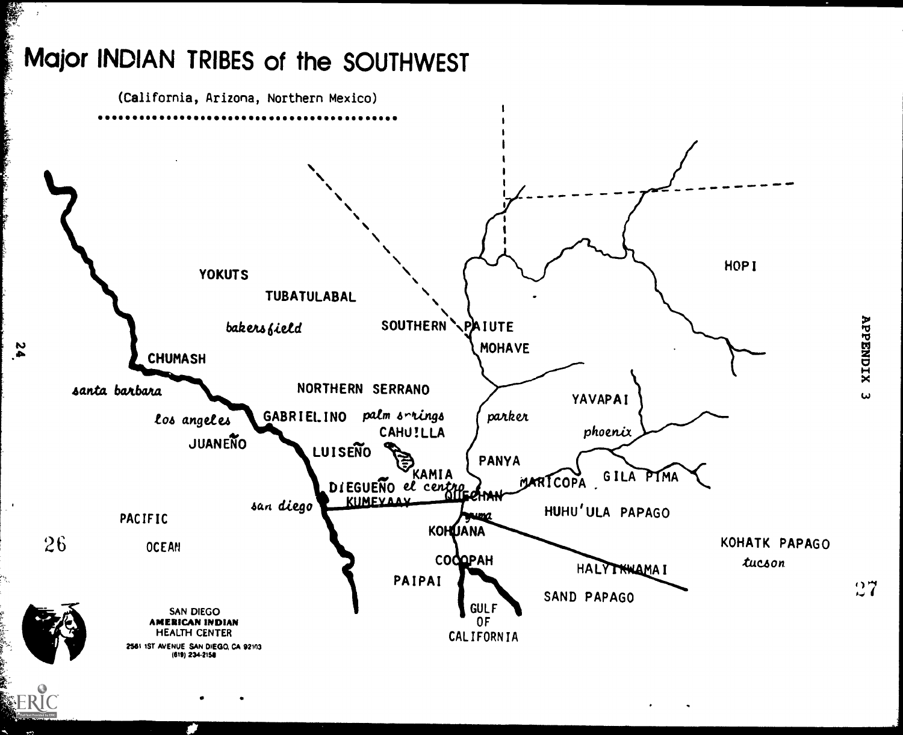# Major INDIAN TRIBES of the SOUTHWEST

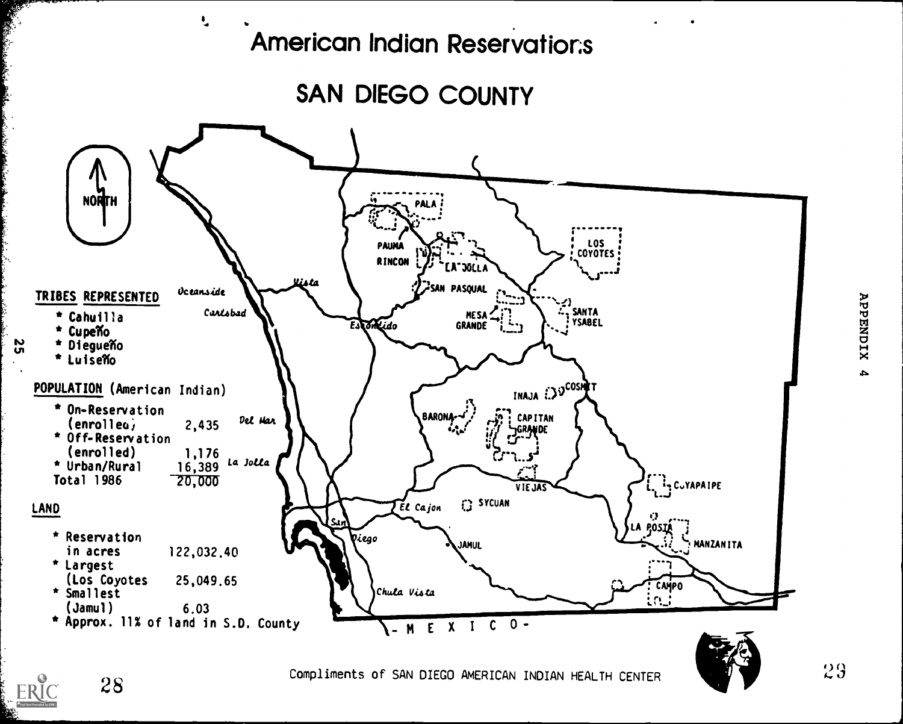

SAN DIEGO COUNTY